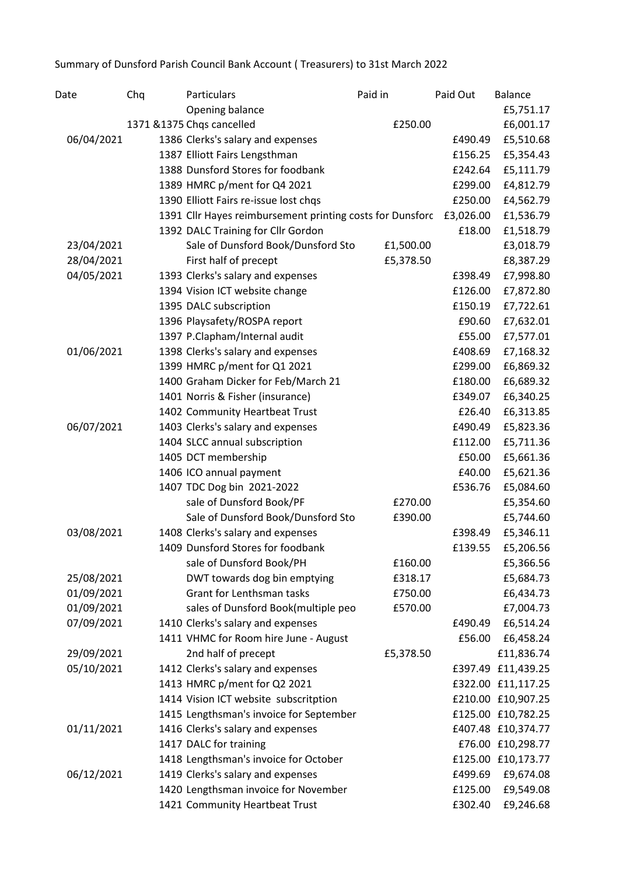Summary of Dunsford Parish Council Bank Account ( Treasurers) to 31st March 2022

| Date       | Chq | Particulars                                               | Paid in   | Paid Out  | <b>Balance</b>     |
|------------|-----|-----------------------------------------------------------|-----------|-----------|--------------------|
|            |     | Opening balance                                           |           |           | £5,751.17          |
|            |     | 1371 &1375 Chqs cancelled                                 | £250.00   |           | £6,001.17          |
| 06/04/2021 |     | 1386 Clerks's salary and expenses                         |           | £490.49   | £5,510.68          |
|            |     | 1387 Elliott Fairs Lengsthman                             |           | £156.25   | £5,354.43          |
|            |     | 1388 Dunsford Stores for foodbank                         |           | £242.64   | £5,111.79          |
|            |     | 1389 HMRC p/ment for Q4 2021                              |           | £299.00   | £4,812.79          |
|            |     | 1390 Elliott Fairs re-issue lost chqs                     |           | £250.00   | £4,562.79          |
|            |     | 1391 Cllr Hayes reimbursement printing costs for Dunsforc |           | £3,026.00 | £1,536.79          |
|            |     | 1392 DALC Training for Cllr Gordon                        |           | £18.00    | £1,518.79          |
| 23/04/2021 |     | Sale of Dunsford Book/Dunsford Sto                        | £1,500.00 |           | £3,018.79          |
| 28/04/2021 |     | First half of precept                                     | £5,378.50 |           | £8,387.29          |
| 04/05/2021 |     | 1393 Clerks's salary and expenses                         |           | £398.49   | £7,998.80          |
|            |     | 1394 Vision ICT website change                            |           | £126.00   | £7,872.80          |
|            |     | 1395 DALC subscription                                    |           | £150.19   | £7,722.61          |
|            |     | 1396 Playsafety/ROSPA report                              |           | £90.60    | £7,632.01          |
|            |     | 1397 P.Clapham/Internal audit                             |           | £55.00    | £7,577.01          |
| 01/06/2021 |     | 1398 Clerks's salary and expenses                         |           | £408.69   | £7,168.32          |
|            |     | 1399 HMRC p/ment for Q1 2021                              |           | £299.00   | £6,869.32          |
|            |     | 1400 Graham Dicker for Feb/March 21                       |           | £180.00   | £6,689.32          |
|            |     | 1401 Norris & Fisher (insurance)                          |           | £349.07   | £6,340.25          |
|            |     | 1402 Community Heartbeat Trust                            |           | £26.40    | £6,313.85          |
| 06/07/2021 |     | 1403 Clerks's salary and expenses                         |           | £490.49   | £5,823.36          |
|            |     | 1404 SLCC annual subscription                             |           | £112.00   | £5,711.36          |
|            |     | 1405 DCT membership                                       |           | £50.00    | £5,661.36          |
|            |     | 1406 ICO annual payment                                   |           | £40.00    | £5,621.36          |
|            |     | 1407 TDC Dog bin 2021-2022                                |           | £536.76   | £5,084.60          |
|            |     | sale of Dunsford Book/PF                                  | £270.00   |           | £5,354.60          |
|            |     | Sale of Dunsford Book/Dunsford Sto                        | £390.00   |           | £5,744.60          |
| 03/08/2021 |     | 1408 Clerks's salary and expenses                         |           | £398.49   | £5,346.11          |
|            |     | 1409 Dunsford Stores for foodbank                         |           | £139.55   | £5,206.56          |
|            |     | sale of Dunsford Book/PH                                  | £160.00   |           | £5,366.56          |
| 25/08/2021 |     | DWT towards dog bin emptying                              | £318.17   |           | £5,684.73          |
| 01/09/2021 |     | Grant for Lenthsman tasks                                 | £750.00   |           | £6,434.73          |
| 01/09/2021 |     | sales of Dunsford Book(multiple peo                       | £570.00   |           | £7,004.73          |
| 07/09/2021 |     | 1410 Clerks's salary and expenses                         |           | £490.49   | £6,514.24          |
|            |     | 1411 VHMC for Room hire June - August                     |           | £56.00    | £6,458.24          |
| 29/09/2021 |     | 2nd half of precept                                       | £5,378.50 |           | £11,836.74         |
| 05/10/2021 |     | 1412 Clerks's salary and expenses                         |           | £397.49   | £11,439.25         |
|            |     | 1413 HMRC p/ment for Q2 2021                              |           |           | £322.00 £11,117.25 |
|            |     | 1414 Vision ICT website subscritption                     |           |           | £210.00 £10,907.25 |
|            |     | 1415 Lengthsman's invoice for September                   |           |           | £125.00 £10,782.25 |
| 01/11/2021 |     | 1416 Clerks's salary and expenses                         |           |           | £407.48 £10,374.77 |
|            |     | 1417 DALC for training                                    |           |           | £76.00 £10,298.77  |
|            |     | 1418 Lengthsman's invoice for October                     |           |           | £125.00 £10,173.77 |
| 06/12/2021 |     | 1419 Clerks's salary and expenses                         |           | £499.69   | £9,674.08          |
|            |     | 1420 Lengthsman invoice for November                      |           | £125.00   | £9,549.08          |
|            |     | 1421 Community Heartbeat Trust                            |           | £302.40   | £9,246.68          |